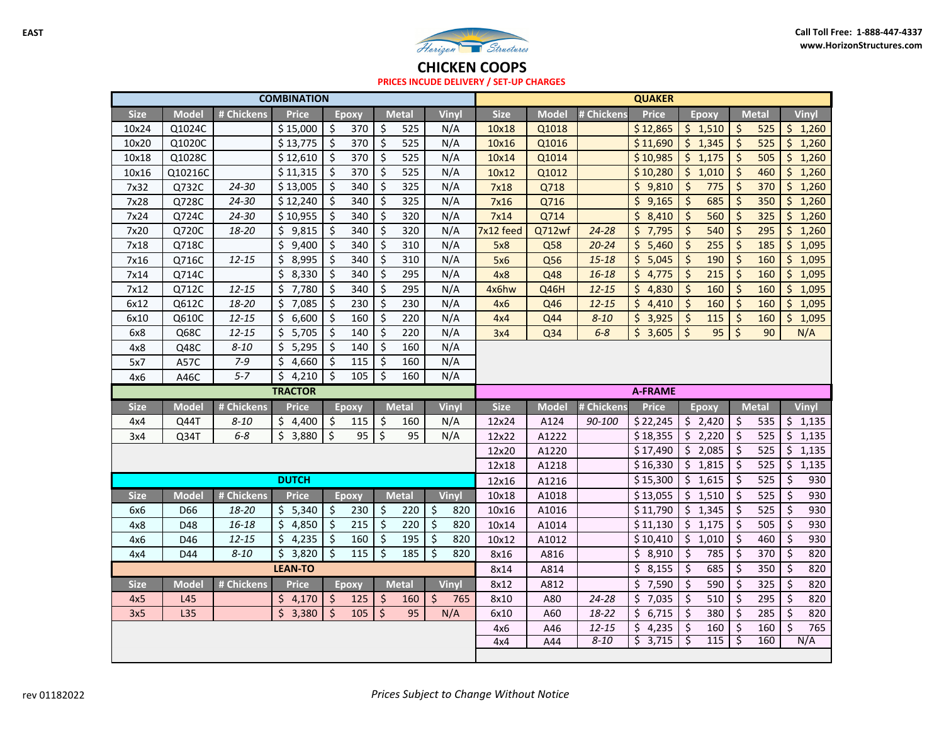

**CHICKEN COOPS**

**PRICES INCUDE DELIVERY / SET‐UP CHARGES**

| <b>COMBINATION</b> |              |            |                |                          | <b>QUAKER</b>     |              |              |             |              |            |                |                                 |                          |                  |                               |
|--------------------|--------------|------------|----------------|--------------------------|-------------------|--------------|--------------|-------------|--------------|------------|----------------|---------------------------------|--------------------------|------------------|-------------------------------|
| <b>Size</b>        | <b>Model</b> | # Chickens | <b>Price</b>   |                          | Ероху             | <b>Metal</b> | Vinyl        | <b>Size</b> | <b>Model</b> | # Chickens | <b>Price</b>   | <b>Epoxy</b>                    |                          | <b>Metal</b>     | Vinyl                         |
| 10x24              | Q1024C       |            | \$15,000       | \$                       | 370               | \$<br>525    | N/A          | 10x18       | Q1018        |            | \$12,865       | \$1,510                         | $\zeta$                  | 525              | \$1,260                       |
| 10x20              | Q1020C       |            | \$13,775       | $\zeta$                  | 370               | \$<br>525    | N/A          | 10x16       | Q1016        |            | \$11,690       | $\zeta$<br>1,345                | $\overline{\mathcal{S}}$ | 525              | \$1,260                       |
| 10x18              | Q1028C       |            | \$12,610       | $\zeta$                  | 370               | \$<br>525    | N/A          | 10x14       | Q1014        |            | \$10,985       | \$1,175                         | $\zeta$                  | 505              | \$1,260                       |
| 10x16              | Q10216C      |            | \$11,315       | \$                       | 370               | \$<br>525    | N/A          | 10x12       | Q1012        |            | \$10,280       | $\zeta$<br>1,010                | $\zeta$                  | 460              | \$1,260                       |
| 7x32               | Q732C        | 24-30      | \$13,005       | \$                       | 340               | \$<br>325    | N/A          | 7x18        | Q718         |            | \$9,810        | $\overline{\mathcal{S}}$<br>775 | $\overline{\mathcal{S}}$ | 370              | $\overline{5}$ 1,260          |
| 7x28               | Q728C        | 24-30      | \$12,240       | $\zeta$                  | 340               | \$<br>325    | N/A          | 7x16        | Q716         |            | \$9,165        | $\zeta$<br>685                  | $\zeta$                  | 350              | \$1,260                       |
| 7x24               | Q724C        | 24-30      | \$10,955       | \$                       | 340               | \$<br>320    | N/A          | 7x14        | Q714         |            | \$8,410        | $\zeta$<br>560                  | $\zeta$                  | 325              | \$1,260                       |
| 7x20               | Q720C        | 18-20      | \$9,815        | \$                       | 340               | \$<br>320    | N/A          | 7x12 feed   | Q712wf       | 24-28      | \$7,795        | $\zeta$<br>540                  | $\zeta$                  | 295              | \$1,260                       |
| 7x18               | Q718C        |            | \$<br>9,400    | \$                       | 340               | \$<br>310    | N/A          | 5x8         | Q58          | $20 - 24$  | \$5,460        | $\zeta$<br>255                  | $\zeta$                  | 185              | \$1,095                       |
| 7x16               | Q716C        | $12 - 15$  | \$<br>8,995    | $\zeta$                  | 340               | \$<br>310    | N/A          | 5x6         | Q56          | $15 - 18$  | \$5,045        | $\zeta$<br>190                  | \$                       | 160              | \$1,095                       |
| 7x14               | Q714C        |            | Ś.<br>8,330    | $\zeta$                  | 340               | \$<br>295    | N/A          | 4x8         | Q48          | $16 - 18$  | \$4,775        | $\zeta$<br>215                  | $\zeta$                  | 160              | \$1,095                       |
| 7x12               | Q712C        | $12 - 15$  | Ś.<br>7,780    | $\zeta$                  | 340               | \$<br>295    | N/A          | 4x6hw       | Q46H         | $12 - 15$  | \$4,830        | $\zeta$<br>160                  | $\zeta$                  | 160              | \$1,095                       |
| 6x12               | Q612C        | 18-20      | \$<br>7,085    | \$                       | 230               | \$<br>230    | N/A          | 4x6         | Q46          | $12 - 15$  | \$<br>4,410    | $\zeta$<br>160                  | $\zeta$                  | 160              | \$1,095                       |
| 6x10               | Q610C        | $12 - 15$  | \$<br>6,600    | \$                       | 160               | \$<br>220    | N/A          | 4x4         | Q44          | $8 - 10$   | \$3,925        | $\zeta$<br>115                  | $\zeta$                  | 160              | \$1,095                       |
| 6x8                | Q68C         | $12 - 15$  | Ś.<br>5,705    | \$                       | 140               | \$<br>220    | N/A          | 3x4         | Q34          | $6-8$      | \$3,605        | $\zeta$<br>95                   | $\zeta$                  | 90               | N/A                           |
| 4x8                | Q48C         | $8 - 10$   | Ś.<br>5,295    | $\overline{\mathbf{r}}$  | 140               | \$<br>160    | N/A          |             |              |            |                |                                 |                          |                  |                               |
| 5x7                | A57C         | $7 - 9$    | Ś.<br>4,660    | $\zeta$                  | 115               | \$<br>160    | N/A          |             |              |            |                |                                 |                          |                  |                               |
|                    | A46C         |            |                |                          |                   | 160          |              |             |              |            |                |                                 |                          |                  |                               |
| 4x6                |              | $5 - 7$    | \$<br>4,210    | $\zeta$                  | 105               | \$           | N/A          |             |              |            |                |                                 |                          |                  |                               |
|                    |              |            | <b>TRACTOR</b> |                          |                   |              |              |             |              |            | <b>A-FRAME</b> |                                 |                          |                  |                               |
| <b>Size</b>        | Model        | # Chickens | <b>Price</b>   |                          | <b>Epoxy</b>      | <b>Metal</b> | <b>Vinyl</b> | <b>Size</b> | <b>Model</b> | # Chickens | <b>Price</b>   | <b>Epoxy</b>                    | <b>Metal</b>             |                  | Vinyl                         |
| 4x4                | Q44T         | $8 - 10$   | \$4,400        | \$                       | 115               | \$<br>160    | N/A          | 12x24       | A124         | 90-100     | \$22,245       | \$2,420                         | \$                       | 535              | \$1,135                       |
| 3x4                | Q34T         | $6-8$      | \$3,880        | $\zeta$                  | 95                | \$<br>95     | N/A          | 12x22       | A1222        |            | \$18,355       | \$2,220                         | \$                       | 525              | \$1,135                       |
|                    |              |            |                |                          |                   |              |              | 12x20       | A1220        |            | \$17,490       | \$<br>2,085                     | \$                       | 525              | \$1,135                       |
|                    |              |            |                |                          |                   |              |              | 12x18       | A1218        |            | \$16,330       | \$1,815                         | \$                       | 525              | \$1,135                       |
|                    |              |            | <b>DUTCH</b>   |                          |                   |              |              | 12x16       | A1216        |            | \$15,300       | \$1,615                         | $\zeta$                  | 525              | \$<br>930                     |
| <b>Size</b>        | Model        | # Chickens | <b>Price</b>   |                          | <b>Epoxy</b>      | <b>Metal</b> | Vinyl        | 10x18       | A1018        |            | \$13,055       | \$1,510                         | \$                       | 525              | \$<br>930                     |
| 6x6                | D66          | 18-20      | 5,340<br>\$    | \$                       | 230               | \$<br>220    | \$<br>820    | 10x16       | A1016        |            | \$11,790       | \$<br>1,345                     | \$                       | 525              | \$<br>930                     |
| 4x8                | D48          | 16-18      | \$<br>4,850    | $\zeta$                  | 215               | \$<br>220    | \$<br>820    | 10x14       | A1014        |            | \$11,130       | \$1,175                         | $\zeta$                  | 505              | \$<br>930                     |
| 4x6                | D46          | $12 - 15$  | 4,235<br>\$.   | $\zeta$                  | 160               | \$<br>195    | \$<br>820    | 10x12       | A1012        |            | \$10,410       | \$1,010                         | $\zeta$                  | 460              | $\zeta$<br>930                |
| 4x4                | D44          | $8 - 10$   | 3,820<br>\$    | $\overline{\mathcal{S}}$ | $\frac{115}{115}$ | \$<br>185    | \$<br>820    | 8x16        | A816         |            | \$8,910        | $\zeta$<br>785                  | $\overline{\varsigma}$   | $\overline{370}$ | $\overline{\varsigma}$<br>820 |
|                    |              |            | <b>LEAN-TO</b> |                          |                   |              |              | 8x14        | A814         |            | \$8,155        | \$<br>685                       | \$                       | 350              | \$<br>820                     |
| <b>Size</b>        | <b>Model</b> | # Chickens | <b>Price</b>   |                          | <b>Epoxy</b>      | <b>Metal</b> | Vinyl        | 8x12        | A812         |            | \$7,590        | \$<br>590                       | \$                       | 325              | \$<br>820                     |
| 4x5                | L45          |            | \$4,170        | \$                       | 125               | \$<br>160    | \$<br>765    | 8x10        | A80          | 24-28      | \$7,035        | $\zeta$<br>510                  | \$                       | 295              | \$<br>820                     |
| 3x5                | L35          |            | \$<br>3,380    | $\zeta$                  | 105               | \$<br>95     | N/A          | 6x10        | A60          | 18-22      | \$6,715        | \$<br>380                       | \$                       | 285              | Ś.<br>820                     |
|                    |              |            |                |                          |                   |              |              | 4x6         | A46          | $12 - 15$  | \$4,235        | \$<br>160                       | \$                       | 160              | \$<br>765                     |
|                    |              |            |                |                          |                   |              |              | 4x4         | A44          | $8 - 10$   | \$3,715        | \$<br>$\overline{115}$          | \$                       | 160              | N/A                           |